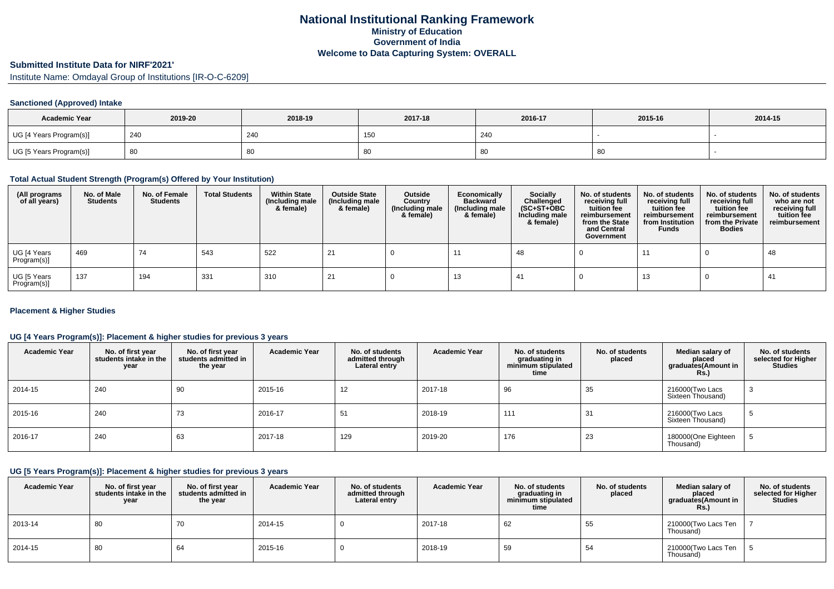# **Submitted Institute Data for NIRF'2021'**

Institute Name: Omdayal Group of Institutions [IR-O-C-6209]

#### **Sanctioned (Approved) Intake**

| <b>Academic Year</b>    | 2019-20 | 2018-19 | 2017-18               | 2016-17 | 2015-16 | 2014-15 |
|-------------------------|---------|---------|-----------------------|---------|---------|---------|
| UG [4 Years Program(s)] | 240     | 24C     | 15<br>1 J J           | 240     |         |         |
| UG [5 Years Program(s)] | 80      | 80      | $\sim$<br>- 21<br>ັບບ | οU      | ิซิน    |         |

### **Total Actual Student Strength (Program(s) Offered by Your Institution)**

| (All programs<br>of all years) | No. of Male<br><b>Students</b> | No. of Female<br><b>Students</b> | <b>Total Students</b> | <b>Within State</b><br>(Including male<br>& female) | <b>Outside State</b><br>(Including male<br>& female) | Outside<br>Country<br>(Including male<br>& female) | Economically<br><b>Backward</b><br>(Including male<br>& female) | <b>Socially</b><br>Challenged<br>$(SC+ST+OBC)$<br>Including male<br>& female) | No. of students<br>receiving full<br>tuition fee<br>reimbursement<br>from the State<br>and Central<br>Government | No. of students<br>receiving full<br>tuition fee<br>reimbursement<br>from Institution<br><b>Funds</b> | No. of students<br>receiving full<br>tuition fee<br>reimbursement<br>from the Private<br><b>Bodies</b> | No. of students<br>who are not<br>receiving full<br>tuition fee<br>reimbursement |
|--------------------------------|--------------------------------|----------------------------------|-----------------------|-----------------------------------------------------|------------------------------------------------------|----------------------------------------------------|-----------------------------------------------------------------|-------------------------------------------------------------------------------|------------------------------------------------------------------------------------------------------------------|-------------------------------------------------------------------------------------------------------|--------------------------------------------------------------------------------------------------------|----------------------------------------------------------------------------------|
| UG [4 Years<br>Program(s)]     | 469                            | 74                               | 543                   | 522                                                 | 21                                                   |                                                    |                                                                 | 48                                                                            |                                                                                                                  | 11                                                                                                    |                                                                                                        | 48                                                                               |
| UG [5 Years<br>Program(s)]     | 137                            | 194                              | 331                   | 310                                                 |                                                      |                                                    | 13                                                              | -41                                                                           |                                                                                                                  | 13                                                                                                    |                                                                                                        | -41                                                                              |

#### **Placement & Higher Studies**

### **UG [4 Years Program(s)]: Placement & higher studies for previous 3 years**

| <b>Academic Year</b> | No. of first year<br>students intake in the<br>year | No. of first vear<br>students admitted in<br>the year | <b>Academic Year</b> | No. of students<br>admitted through<br>Lateral entry | <b>Academic Year</b> | No. of students<br>graduating in<br>minimum stipulated<br>time | No. of students<br>placed | Median salary of<br>placed<br>graduates(Amount in<br><b>Rs.</b> ) | No. of students<br>selected for Higher<br><b>Studies</b> |
|----------------------|-----------------------------------------------------|-------------------------------------------------------|----------------------|------------------------------------------------------|----------------------|----------------------------------------------------------------|---------------------------|-------------------------------------------------------------------|----------------------------------------------------------|
| 2014-15              | 240                                                 | 90                                                    | 2015-16              | 12                                                   | 2017-18              | 96                                                             | 35                        | 216000 (Two Lacs<br>Sixteen Thousand)                             | -3                                                       |
| 2015-16              | 240                                                 | 73                                                    | 2016-17              | 51                                                   | 2018-19              | 111                                                            | 31                        | 216000 (Two Lacs<br>Sixteen Thousand)                             |                                                          |
| 2016-17              | 240                                                 | 63                                                    | 2017-18              | 129                                                  | 2019-20              | 176                                                            | 23                        | 180000(One Eighteen<br>Thousand)                                  |                                                          |

## **UG [5 Years Program(s)]: Placement & higher studies for previous 3 years**

| <b>Academic Year</b> | No. of first year<br>students intake in the<br>year | No. of first year<br>students admitted in<br>the year | <b>Academic Year</b> | No. of students<br>admitted through<br>Lateral entry | <b>Academic Year</b> | No. of students<br>araduating in<br>minimum stipulated<br>time | No. of students<br>placed | Median salary of<br>placed<br>graduates(Amount in<br>Rs. | No. of students<br>selected for Higher<br><b>Studies</b> |
|----------------------|-----------------------------------------------------|-------------------------------------------------------|----------------------|------------------------------------------------------|----------------------|----------------------------------------------------------------|---------------------------|----------------------------------------------------------|----------------------------------------------------------|
| 2013-14              | 80                                                  | 70                                                    | 2014-15              |                                                      | 2017-18              | 62                                                             | 55                        | 210000(Two Lacs Ten<br>Thousand)                         |                                                          |
| 2014-15              | 80                                                  | 64                                                    | 2015-16              |                                                      | 2018-19              | 59                                                             | 54                        | 210000(Two Lacs Ten<br>Thousand)                         |                                                          |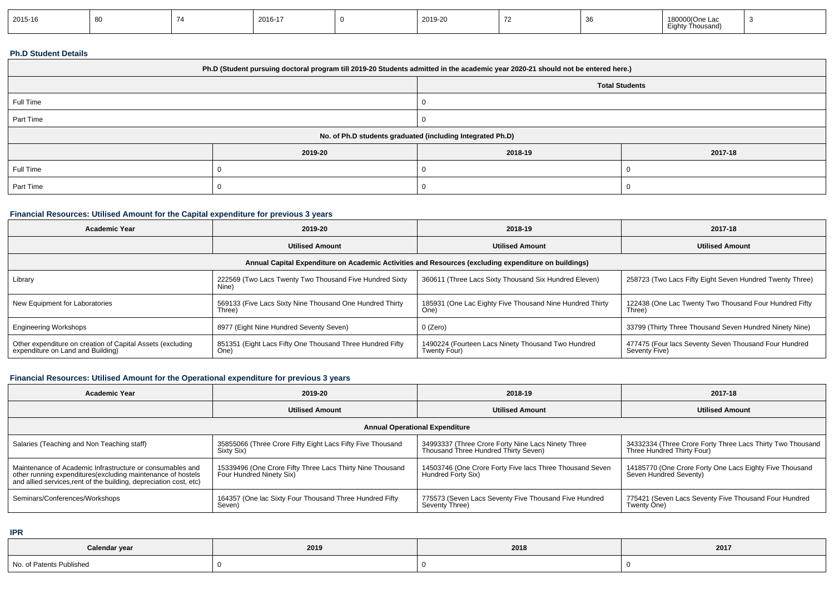| 2015-16 | . |  | 2016-17 |  | 2019-20 |  |  | 180000(One Lac<br>$- \cdot$<br>Thousand)<br>iah.<br>- 11. |  |
|---------|---|--|---------|--|---------|--|--|-----------------------------------------------------------|--|
|---------|---|--|---------|--|---------|--|--|-----------------------------------------------------------|--|

### **Ph.D Student Details**

| Ph.D (Student pursuing doctoral program till 2019-20 Students admitted in the academic year 2020-21 should not be entered here.) |                                                            |                       |         |  |  |  |
|----------------------------------------------------------------------------------------------------------------------------------|------------------------------------------------------------|-----------------------|---------|--|--|--|
|                                                                                                                                  |                                                            | <b>Total Students</b> |         |  |  |  |
| Full Time                                                                                                                        |                                                            |                       |         |  |  |  |
| Part Time                                                                                                                        |                                                            |                       |         |  |  |  |
|                                                                                                                                  | No. of Ph.D students graduated (including Integrated Ph.D) |                       |         |  |  |  |
|                                                                                                                                  | 2019-20                                                    | 2018-19               | 2017-18 |  |  |  |
| Full Time                                                                                                                        |                                                            |                       |         |  |  |  |
| Part Time                                                                                                                        |                                                            |                       |         |  |  |  |

## **Financial Resources: Utilised Amount for the Capital expenditure for previous 3 years**

| Academic Year                                                                                        | 2019-20                                                            | 2018-19                                                            | 2017-18                                                                |  |  |  |
|------------------------------------------------------------------------------------------------------|--------------------------------------------------------------------|--------------------------------------------------------------------|------------------------------------------------------------------------|--|--|--|
|                                                                                                      | <b>Utilised Amount</b>                                             | <b>Utilised Amount</b>                                             | <b>Utilised Amount</b>                                                 |  |  |  |
| Annual Capital Expenditure on Academic Activities and Resources (excluding expenditure on buildings) |                                                                    |                                                                    |                                                                        |  |  |  |
| Library                                                                                              | 222569 (Two Lacs Twenty Two Thousand Five Hundred Sixty<br>Nine)   | 360611 (Three Lacs Sixty Thousand Six Hundred Eleven)              | 258723 (Two Lacs Fifty Eight Seven Hundred Twenty Three)               |  |  |  |
| New Equipment for Laboratories                                                                       | 569133 (Five Lacs Sixty Nine Thousand One Hundred Thirty<br>Three) | 185931 (One Lac Eighty Five Thousand Nine Hundred Thirty<br>One)   | 122438 (One Lac Twenty Two Thousand Four Hundred Fifty<br>Three)       |  |  |  |
| <b>Engineering Workshops</b>                                                                         | 8977 (Eight Nine Hundred Seventy Seven)                            | 0 (Zero)                                                           | 33799 (Thirty Three Thousand Seven Hundred Ninety Nine)                |  |  |  |
| Other expenditure on creation of Capital Assets (excluding<br>expenditure on Land and Building)      | 851351 (Eight Lacs Fifty One Thousand Three Hundred Fifty<br>One)  | 1490224 (Fourteen Lacs Ninety Thousand Two Hundred<br>Twenty Four) | 477475 (Four lacs Seventy Seven Thousand Four Hundred<br>Seventy Five) |  |  |  |

## **Financial Resources: Utilised Amount for the Operational expenditure for previous 3 years**

| Academic Year                                                                                                                     | 2019-20                                                    | 2018-19                                                  | 2017-18                                                    |  |  |  |  |
|-----------------------------------------------------------------------------------------------------------------------------------|------------------------------------------------------------|----------------------------------------------------------|------------------------------------------------------------|--|--|--|--|
|                                                                                                                                   | <b>Utilised Amount</b>                                     | <b>Utilised Amount</b>                                   | <b>Utilised Amount</b>                                     |  |  |  |  |
| <b>Annual Operational Expenditure</b>                                                                                             |                                                            |                                                          |                                                            |  |  |  |  |
| Salaries (Teaching and Non Teaching staff)                                                                                        | 35855066 (Three Crore Fifty Eight Lacs Fifty Five Thousand | 34993337 (Three Crore Forty Nine Lacs Ninety Three       | 34332334 (Three Crore Forty Three Lacs Thirty Two Thousand |  |  |  |  |
|                                                                                                                                   | Sixty Six)                                                 | Thousand Three Hundred Thirty Seven)                     | Three Hundred Thirty Four)                                 |  |  |  |  |
| Maintenance of Academic Infrastructure or consumables and                                                                         | 15339496 (One Crore Fifty Three Lacs Thirty Nine Thousand  | 14503746 (One Crore Forty Five lacs Three Thousand Seven | 14185770 (One Crore Forty One Lacs Eighty Five Thousand    |  |  |  |  |
| other running expenditures(excluding maintenance of hostels<br>and allied services, rent of the building, depreciation cost, etc) | Four Hundred Ninety Six)                                   | Hundred Forty Six)                                       | Seven Hundred Seventy)                                     |  |  |  |  |
| Seminars/Conferences/Workshops                                                                                                    | 164357 (One lac Sixty Four Thousand Three Hundred Fifty    | 775573 (Seven Lacs Seventy Five Thousand Five Hundred    | 775421 (Seven Lacs Seventy Five Thousand Four Hundred      |  |  |  |  |
|                                                                                                                                   | Seven)                                                     | Seventy Three)                                           | Twenty One)                                                |  |  |  |  |

**IPR**

| Calendar year            | 2019 | 2018 | 2017 |
|--------------------------|------|------|------|
| No. of Patents Published |      |      |      |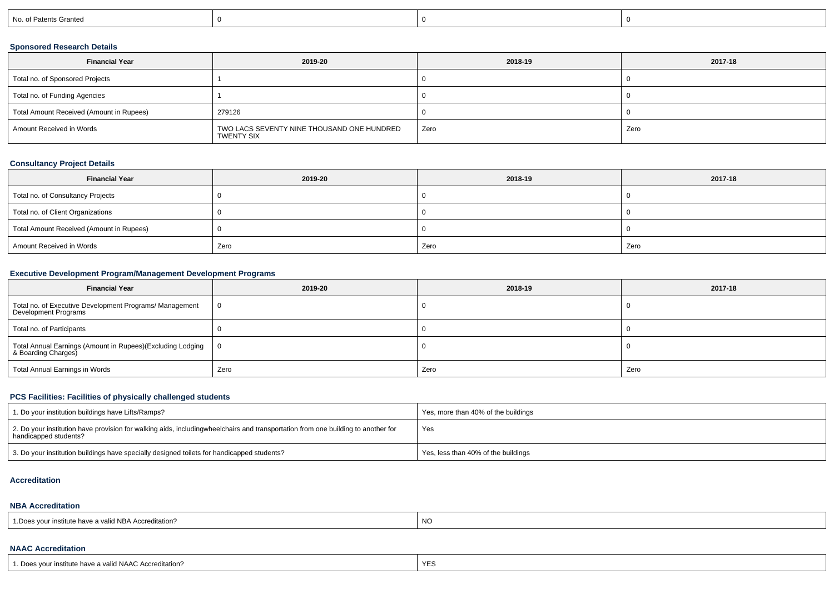| No. of Patents Granted |  |  |
|------------------------|--|--|
|                        |  |  |

## **Sponsored Research Details**

| <b>Financial Year</b>                    | 2019-20                                                  | 2018-19 | 2017-18 |
|------------------------------------------|----------------------------------------------------------|---------|---------|
| Total no. of Sponsored Projects          |                                                          |         |         |
| Total no. of Funding Agencies            |                                                          |         |         |
| Total Amount Received (Amount in Rupees) | 279126                                                   |         |         |
| Amount Received in Words                 | TWO LACS SEVENTY NINE THOUSAND ONE HUNDRED<br>TWENTY SIX | Zero    | Zero    |

### **Consultancy Project Details**

| <b>Financial Year</b>                    | 2019-20 | 2018-19 | 2017-18 |
|------------------------------------------|---------|---------|---------|
| Total no. of Consultancy Projects        |         |         |         |
| Total no. of Client Organizations        |         |         |         |
| Total Amount Received (Amount in Rupees) |         |         |         |
| Amount Received in Words                 | Zero    | Zero    | Zero    |

## **Executive Development Program/Management Development Programs**

| <b>Financial Year</b>                                                             | 2019-20 | 2018-19 | 2017-18 |  |
|-----------------------------------------------------------------------------------|---------|---------|---------|--|
| Total no. of Executive Development Programs/ Management<br>Development Programs   |         |         |         |  |
| Total no. of Participants                                                         |         |         |         |  |
| Total Annual Earnings (Amount in Rupees)(Excluding Lodging<br>& Boarding Charges) | - 0     |         |         |  |
| <b>Total Annual Earnings in Words</b>                                             | Zero    | Zero    | Zero    |  |

## **PCS Facilities: Facilities of physically challenged students**

| 1. Do your institution buildings have Lifts/Ramps?                                                                                                        | Yes, more than 40% of the buildings |
|-----------------------------------------------------------------------------------------------------------------------------------------------------------|-------------------------------------|
| 2. Do your institution have provision for walking aids, includingwheelchairs and transportation from one building to another for<br>handicapped students? | Yes                                 |
| 3. Do your institution buildings have specially designed toilets for handicapped students?                                                                | Yes, less than 40% of the buildings |

#### **Accreditation**

#### **NBA Accreditation**

| $\cdots$<br>id ND<br>r institute have a valid NBA Accreditation? | NC |
|------------------------------------------------------------------|----|
|                                                                  |    |

## **NAAC Accreditation**

| 1. Does your institute have a valid NAAC Accreditation? | $\cdot$ $\sim$<br>YEこ |
|---------------------------------------------------------|-----------------------|
|---------------------------------------------------------|-----------------------|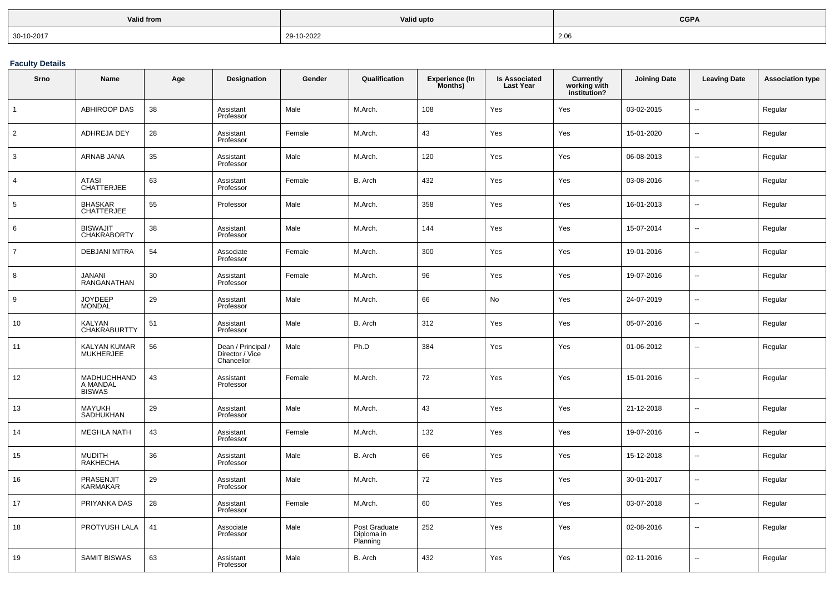| Valid from | Valid upto | <b>CGPA</b> |
|------------|------------|-------------|
| 30-10-2017 | 29-10-2022 | 2.06        |

**Faculty Details**

| Srno           | Name                                     | Age    | <b>Designation</b>                                  | Gender | Qualification                           | <b>Experience (In</b><br>Months) | <b>Is Associated</b><br><b>Last Year</b> | <b>Currently</b><br>working with<br>institution? | <b>Joining Date</b> | <b>Leaving Date</b>      | <b>Association type</b> |
|----------------|------------------------------------------|--------|-----------------------------------------------------|--------|-----------------------------------------|----------------------------------|------------------------------------------|--------------------------------------------------|---------------------|--------------------------|-------------------------|
| $\mathbf{1}$   | <b>ABHIROOP DAS</b>                      | 38     | Assistant<br>Professor                              | Male   | M.Arch.                                 | 108                              | Yes                                      | Yes                                              | 03-02-2015          | ц.                       | Regular                 |
| $\overline{2}$ | ADHREJA DEY                              | 28     | Assistant<br>Professor                              | Female | M.Arch.                                 | 43                               | Yes                                      | Yes                                              | 15-01-2020          | $\sim$                   | Regular                 |
| 3              | ARNAB JANA                               | 35     | Assistant<br>Professor                              | Male   | M.Arch.                                 | 120                              | Yes                                      | Yes                                              | 06-08-2013          | $\ddotsc$                | Regular                 |
| $\overline{4}$ | <b>ATASI</b><br><b>CHATTERJEE</b>        | 63     | Assistant<br>Professor                              | Female | B. Arch                                 | 432                              | Yes                                      | Yes                                              | 03-08-2016          | $\ddotsc$                | Regular                 |
| 5              | <b>BHASKAR</b><br><b>CHATTERJEE</b>      | 55     | Professor                                           | Male   | M.Arch.                                 | 358                              | Yes                                      | Yes                                              | 16-01-2013          | $\ddotsc$                | Regular                 |
| 6              | <b>BISWAJIT</b><br><b>CHAKRABORTY</b>    | 38     | Assistant<br>Professor                              | Male   | M.Arch.                                 | 144                              | Yes                                      | Yes                                              | 15-07-2014          | $\ddotsc$                | Regular                 |
| $\overline{7}$ | <b>DEBJANI MITRA</b>                     | 54     | Associate<br>Professor                              | Female | M.Arch.                                 | 300                              | Yes                                      | Yes                                              | 19-01-2016          | $\ddotsc$                | Regular                 |
| 8              | <b>JANANI</b><br>RANGANATHAN             | $30\,$ | Assistant<br>Professor                              | Female | M.Arch.                                 | 96                               | Yes                                      | Yes                                              | 19-07-2016          | $\ddot{\phantom{a}}$     | Regular                 |
| 9              | <b>JOYDEEP</b><br><b>MONDAL</b>          | 29     | Assistant<br>Professor                              | Male   | M.Arch.                                 | 66                               | No                                       | Yes                                              | 24-07-2019          | ц.                       | Regular                 |
| 10             | <b>KALYAN</b><br><b>CHAKRABURTTY</b>     | 51     | Assistant<br>Professor                              | Male   | B. Arch                                 | 312                              | Yes                                      | Yes                                              | 05-07-2016          | $\ddotsc$                | Regular                 |
| 11             | KALYAN KUMAR<br><b>MUKHERJEE</b>         | 56     | Dean / Principal /<br>Director / Vice<br>Chancellor | Male   | Ph.D                                    | 384                              | Yes                                      | Yes                                              | 01-06-2012          | $\overline{\phantom{a}}$ | Regular                 |
| 12             | MADHUCHHAND<br>A MANDAL<br><b>BISWAS</b> | 43     | Assistant<br>Professor                              | Female | M.Arch.                                 | 72                               | Yes                                      | Yes                                              | 15-01-2016          | $\ddotsc$                | Regular                 |
| 13             | <b>MAYUKH</b><br>SADHUKHAN               | 29     | Assistant<br>Professor                              | Male   | M.Arch.                                 | 43                               | Yes                                      | Yes                                              | 21-12-2018          | $\overline{\phantom{a}}$ | Regular                 |
| 14             | <b>MEGHLA NATH</b>                       | 43     | Assistant<br>Professor                              | Female | M.Arch.                                 | 132                              | Yes                                      | Yes                                              | 19-07-2016          | $\ddotsc$                | Regular                 |
| 15             | <b>MUDITH</b><br><b>RAKHECHA</b>         | 36     | Assistant<br>Professor                              | Male   | B. Arch                                 | 66                               | Yes                                      | Yes                                              | 15-12-2018          | $\overline{\phantom{a}}$ | Regular                 |
| 16             | PRASENJIT<br><b>KARMAKAR</b>             | 29     | Assistant<br>Professor                              | Male   | M.Arch.                                 | 72                               | Yes                                      | Yes                                              | 30-01-2017          | $\sim$                   | Regular                 |
| 17             | PRIYANKA DAS                             | 28     | Assistant<br>Professor                              | Female | M.Arch.                                 | 60                               | Yes                                      | Yes                                              | 03-07-2018          | $\overline{\phantom{a}}$ | Regular                 |
| 18             | PROTYUSH LALA                            | 41     | Associate<br>Professor                              | Male   | Post Graduate<br>Diploma in<br>Planning | 252                              | Yes                                      | Yes                                              | 02-08-2016          | $\overline{a}$           | Regular                 |
| 19             | <b>SAMIT BISWAS</b>                      | 63     | Assistant<br>Professor                              | Male   | B. Arch                                 | 432                              | Yes                                      | Yes                                              | 02-11-2016          | $\sim$                   | Regular                 |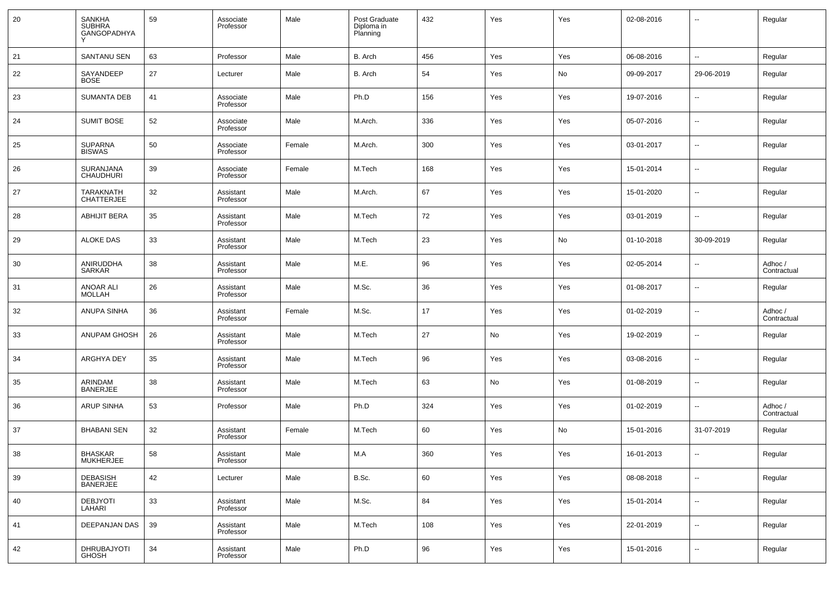| 20 | <b>SANKHA</b><br><b>SUBHRA</b><br><b>GANGOPADHYA</b> | 59 | Associate<br>Professor | Male   | Post Graduate<br>Diploma in<br>Planning | 432 | Yes | Yes | 02-08-2016 | --                       | Regular                |
|----|------------------------------------------------------|----|------------------------|--------|-----------------------------------------|-----|-----|-----|------------|--------------------------|------------------------|
| 21 | SANTANU SEN                                          | 63 | Professor              | Male   | B. Arch                                 | 456 | Yes | Yes | 06-08-2016 | $\overline{a}$           | Regular                |
| 22 | SAYANDEEP<br><b>BOSE</b>                             | 27 | Lecturer               | Male   | B. Arch                                 | 54  | Yes | No  | 09-09-2017 | 29-06-2019               | Regular                |
| 23 | <b>SUMANTA DEB</b>                                   | 41 | Associate<br>Professor | Male   | Ph.D                                    | 156 | Yes | Yes | 19-07-2016 | --                       | Regular                |
| 24 | <b>SUMIT BOSE</b>                                    | 52 | Associate<br>Professor | Male   | M.Arch.                                 | 336 | Yes | Yes | 05-07-2016 | --                       | Regular                |
| 25 | <b>SUPARNA</b><br><b>BISWAS</b>                      | 50 | Associate<br>Professor | Female | M.Arch.                                 | 300 | Yes | Yes | 03-01-2017 | --                       | Regular                |
| 26 | SURANJANA<br><b>CHAUDHURI</b>                        | 39 | Associate<br>Professor | Female | M.Tech                                  | 168 | Yes | Yes | 15-01-2014 | --                       | Regular                |
| 27 | <b>TARAKNATH</b><br><b>CHATTERJEE</b>                | 32 | Assistant<br>Professor | Male   | M.Arch.                                 | 67  | Yes | Yes | 15-01-2020 | н.                       | Regular                |
| 28 | <b>ABHIJIT BERA</b>                                  | 35 | Assistant<br>Professor | Male   | M.Tech                                  | 72  | Yes | Yes | 03-01-2019 | --                       | Regular                |
| 29 | <b>ALOKE DAS</b>                                     | 33 | Assistant<br>Professor | Male   | M.Tech                                  | 23  | Yes | No  | 01-10-2018 | 30-09-2019               | Regular                |
| 30 | ANIRUDDHA<br><b>SARKAR</b>                           | 38 | Assistant<br>Professor | Male   | M.E.                                    | 96  | Yes | Yes | 02-05-2014 | --                       | Adhoc /<br>Contractual |
| 31 | <b>ANOAR ALI</b><br><b>MOLLAH</b>                    | 26 | Assistant<br>Professor | Male   | M.Sc.                                   | 36  | Yes | Yes | 01-08-2017 | --                       | Regular                |
| 32 | <b>ANUPA SINHA</b>                                   | 36 | Assistant<br>Professor | Female | M.Sc.                                   | 17  | Yes | Yes | 01-02-2019 | --                       | Adhoc /<br>Contractual |
| 33 | ANUPAM GHOSH                                         | 26 | Assistant<br>Professor | Male   | M.Tech                                  | 27  | No  | Yes | 19-02-2019 | --                       | Regular                |
| 34 | ARGHYA DEY                                           | 35 | Assistant<br>Professor | Male   | M.Tech                                  | 96  | Yes | Yes | 03-08-2016 | --                       | Regular                |
| 35 | ARINDAM<br><b>BANERJEE</b>                           | 38 | Assistant<br>Professor | Male   | M.Tech                                  | 63  | No  | Yes | 01-08-2019 | --                       | Regular                |
| 36 | <b>ARUP SINHA</b>                                    | 53 | Professor              | Male   | Ph.D                                    | 324 | Yes | Yes | 01-02-2019 | --                       | Adhoc /<br>Contractual |
| 37 | <b>BHABANI SEN</b>                                   | 32 | Assistant<br>Professor | Female | M.Tech                                  | 60  | Yes | No  | 15-01-2016 | 31-07-2019               | Regular                |
| 38 | <b>BHASKAR</b><br><b>MUKHERJEE</b>                   | 58 | Assistant<br>Professor | Male   | M.A                                     | 360 | Yes | Yes | 16-01-2013 | --                       | Regular                |
| 39 | DEBASISH<br>BANERJEE                                 | 42 | Lecturer               | Male   | B.Sc.                                   | 60  | Yes | Yes | 08-08-2018 | $\sim$                   | Regular                |
| 40 | DEBJYOTI<br>LAHARI                                   | 33 | Assistant<br>Professor | Male   | M.Sc.                                   | 84  | Yes | Yes | 15-01-2014 | $\sim$                   | Regular                |
| 41 | DEEPANJAN DAS                                        | 39 | Assistant<br>Professor | Male   | M.Tech                                  | 108 | Yes | Yes | 22-01-2019 | $\sim$                   | Regular                |
| 42 | DHRUBAJYOTI<br>GHOSH                                 | 34 | Assistant<br>Professor | Male   | Ph.D                                    | 96  | Yes | Yes | 15-01-2016 | $\overline{\phantom{a}}$ | Regular                |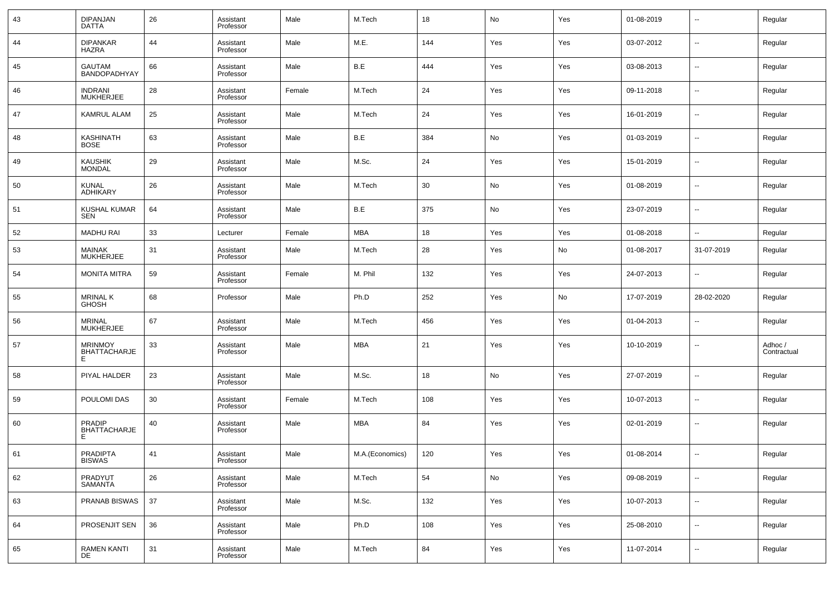| 43 | <b>DIPANJAN</b><br><b>DATTA</b>           | 26 | Assistant<br>Professor | Male   | M.Tech          | 18  | No  | Yes | 01-08-2019 | $\sim$                   | Regular                |
|----|-------------------------------------------|----|------------------------|--------|-----------------|-----|-----|-----|------------|--------------------------|------------------------|
| 44 | <b>DIPANKAR</b><br><b>HAZRA</b>           | 44 | Assistant<br>Professor | Male   | M.E.            | 144 | Yes | Yes | 03-07-2012 | $\overline{\phantom{a}}$ | Regular                |
| 45 | <b>GAUTAM</b><br>BANDOPADHYAY             | 66 | Assistant<br>Professor | Male   | B.E             | 444 | Yes | Yes | 03-08-2013 | $\sim$                   | Regular                |
| 46 | <b>INDRANI</b><br><b>MUKHERJEE</b>        | 28 | Assistant<br>Professor | Female | M.Tech          | 24  | Yes | Yes | 09-11-2018 | $\sim$                   | Regular                |
| 47 | <b>KAMRUL ALAM</b>                        | 25 | Assistant<br>Professor | Male   | M.Tech          | 24  | Yes | Yes | 16-01-2019 | $\sim$                   | Regular                |
| 48 | KASHINATH<br><b>BOSE</b>                  | 63 | Assistant<br>Professor | Male   | B.E             | 384 | No  | Yes | 01-03-2019 | н.                       | Regular                |
| 49 | KAUSHIK<br>MONDAL                         | 29 | Assistant<br>Professor | Male   | M.Sc.           | 24  | Yes | Yes | 15-01-2019 | $\overline{\phantom{a}}$ | Regular                |
| 50 | <b>KUNAL</b><br><b>ADHIKARY</b>           | 26 | Assistant<br>Professor | Male   | M.Tech          | 30  | No  | Yes | 01-08-2019 | н.                       | Regular                |
| 51 | KUSHAL KUMAR<br><b>SEN</b>                | 64 | Assistant<br>Professor | Male   | B.E             | 375 | No  | Yes | 23-07-2019 | $\overline{\phantom{a}}$ | Regular                |
| 52 | <b>MADHU RAI</b>                          | 33 | Lecturer               | Female | MBA             | 18  | Yes | Yes | 01-08-2018 | ш,                       | Regular                |
| 53 | <b>MAINAK</b><br><b>MUKHERJEE</b>         | 31 | Assistant<br>Professor | Male   | M.Tech          | 28  | Yes | No  | 01-08-2017 | 31-07-2019               | Regular                |
| 54 | <b>MONITA MITRA</b>                       | 59 | Assistant<br>Professor | Female | M. Phil         | 132 | Yes | Yes | 24-07-2013 | --                       | Regular                |
| 55 | <b>MRINAL K</b><br><b>GHOSH</b>           | 68 | Professor              | Male   | Ph.D            | 252 | Yes | No  | 17-07-2019 | 28-02-2020               | Regular                |
| 56 | <b>MRINAL</b><br><b>MUKHERJEE</b>         | 67 | Assistant<br>Professor | Male   | M.Tech          | 456 | Yes | Yes | 01-04-2013 | --                       | Regular                |
| 57 | <b>MRINMOY</b><br><b>BHATTACHARJE</b>     | 33 | Assistant<br>Professor | Male   | <b>MBA</b>      | 21  | Yes | Yes | 10-10-2019 | --                       | Adhoc /<br>Contractual |
| 58 | PIYAL HALDER                              | 23 | Assistant<br>Professor | Male   | M.Sc.           | 18  | No  | Yes | 27-07-2019 | --                       | Regular                |
| 59 | POULOMI DAS                               | 30 | Assistant<br>Professor | Female | M.Tech          | 108 | Yes | Yes | 10-07-2013 | --                       | Regular                |
| 60 | <b>PRADIP</b><br><b>BHATTACHARJE</b><br>Е | 40 | Assistant<br>Professor | Male   | MBA             | 84  | Yes | Yes | 02-01-2019 | --                       | Regular                |
| 61 | PRADIPTA<br>BISWAS                        | 41 | Assistant<br>Professor | Male   | M.A.(Economics) | 120 | Yes | Yes | 01-08-2014 |                          | Regular                |
| 62 | PRADYUT<br>SAMANTA                        | 26 | Assistant<br>Professor | Male   | M.Tech          | 54  | No  | Yes | 09-08-2019 | $\overline{\phantom{a}}$ | Regular                |
| 63 | PRANAB BISWAS                             | 37 | Assistant<br>Professor | Male   | M.Sc.           | 132 | Yes | Yes | 10-07-2013 | $\overline{\phantom{a}}$ | Regular                |
| 64 | PROSENJIT SEN                             | 36 | Assistant<br>Professor | Male   | Ph.D            | 108 | Yes | Yes | 25-08-2010 | $\overline{\phantom{a}}$ | Regular                |
| 65 | RAMEN KANTI<br>DE                         | 31 | Assistant<br>Professor | Male   | M.Tech          | 84  | Yes | Yes | 11-07-2014 | $\overline{\phantom{a}}$ | Regular                |